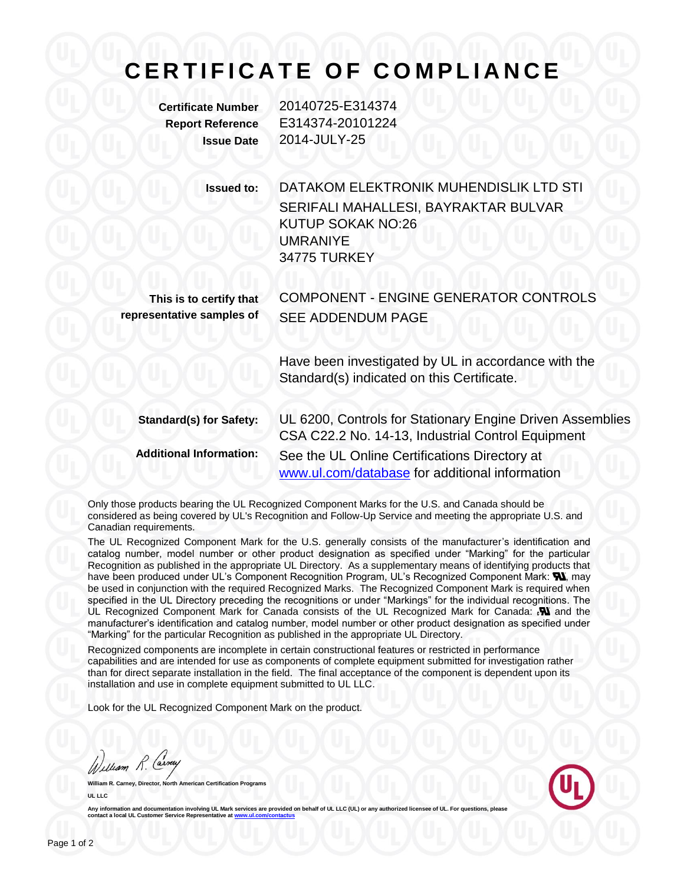## **C E R T I F I C A T E O F C O M P L I A N C E**

**Certificate Number** 20140725-E314374 **Report Reference** E314374-20101224 **Issue Date** 2014-JULY-25

> **Issued to:** DATAKOM ELEKTRONIK MUHENDISLIK LTD STI SERIFALI MAHALLESI, BAYRAKTAR BULVAR KUTUP SOKAK NO:26 UMRANIYE 34775 TURKEY

**This is to certify that representative samples of** COMPONENT - ENGINE GENERATOR CONTROLS SEE ADDENDUM PAGE

> Have been investigated by UL in accordance with the Standard(s) indicated on this Certificate.

**Standard(s) for Safety:** UL 6200, Controls for Stationary Engine Driven Assemblies CSA C22.2 No. 14-13, Industrial Control Equipment **Additional Information:** See the UL Online Certifications Directory at [www.ul.com/database](http://www.ul.com/database) for additional information

Only those products bearing the UL Recognized Component Marks for the U.S. and Canada should be considered as being covered by UL's Recognition and Follow-Up Service and meeting the appropriate U.S. and Canadian requirements.

The UL Recognized Component Mark for the U.S. generally consists of the manufacturer's identification and catalog number, model number or other product designation as specified under "Marking" for the particular Recognition as published in the appropriate UL Directory. As a supplementary means of identifying products that have been produced under UL's Component Recognition Program, UL's Recognized Component Mark:  $\blacksquare$ , may be used in conjunction with the required Recognized Marks. The Recognized Component Mark is required when specified in the UL Directory preceding the recognitions or under "Markings" for the individual recognitions. The UL Recognized Component Mark for Canada consists of the UL Recognized Mark for Canada:  $\mathbf{N}$  and the manufacturer's identification and catalog number, model number or other product designation as specified under "Marking" for the particular Recognition as published in the appropriate UL Directory.

Recognized components are incomplete in certain constructional features or restricted in performance capabilities and are intended for use as components of complete equipment submitted for investigation rather than for direct separate installation in the field. The final acceptance of the component is dependent upon its installation and use in complete equipment submitted to UL LLC.

Look for the UL Recognized Component Mark on the product.

William R. Carney

**William R. Carney, Director, North American Certification Programs UL LLC**



Any information and documentation involving UL Mark services are provided on behalf of UL LLC (UL) or any authorized licensee of UL. **contact a local UL Customer Service Representative at ww**